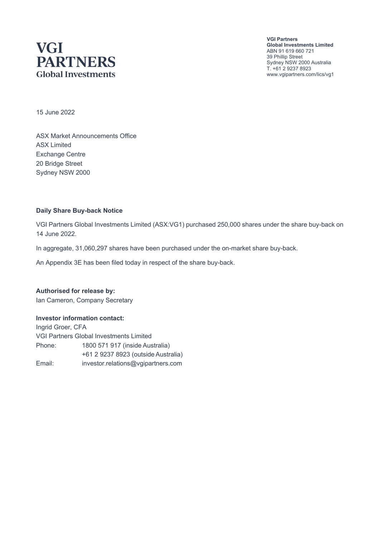## **VGI PARTNERS Global Investments**

**VGI Partners Global Investments Limited** ABN 91 619 660 721 39 Phillip Street Sydney NSW 2000 Australia T. +61 2 9237 8923 www.vgipartners.com/lics/vg1

15 June 2022

ASX Market Announcements Office ASX Limited Exchange Centre 20 Bridge Street Sydney NSW 2000

#### **Daily Share Buy-back Notice**

VGI Partners Global Investments Limited (ASX:VG1) purchased 250,000 shares under the share buy-back on 14 June 2022.

In aggregate, 31,060,297 shares have been purchased under the on-market share buy-back.

An Appendix 3E has been filed today in respect of the share buy-back.

**Authorised for release by:** Ian Cameron, Company Secretary

#### **Investor information contact:**

Ingrid Groer, CFA VGI Partners Global Investments Limited Phone: 1800 571 917 (inside Australia) +61 2 9237 8923 (outside Australia) Email: investor.relations@vgipartners.com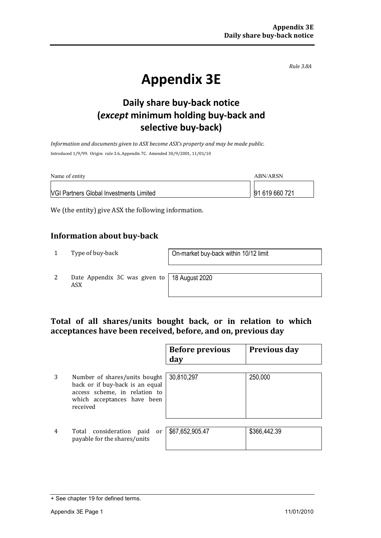*Rule 3.8A*

# **Appendix 3E**

## **Daily share buy-back notice (***except* **minimum holding buy-back and selective buy-back)**

*Information and documents given to ASX become ASX's property and may be made public.* Introduced 1/9/99. Origin: rule 3.6, Appendix 7C. Amended 30/9/2001, 11/01/10

| Name of entity                                 | ABN/ARSN       |
|------------------------------------------------|----------------|
| <b>VGI Partners Global Investments Limited</b> | 91 619 660 721 |

We (the entity) give ASX the following information.

#### **Information about buy-back**

1 Type of buy-back <br> **1** On-market buy-back within 10/12 limit

2 Date Appendix 3C was given to ASX

18 August 2020

#### **Total of all shares/units bought back, or in relation to which acceptances have been received, before, and on, previous day**

|                |                                                                                                                                              | <b>Before previous</b><br>day | <b>Previous day</b> |
|----------------|----------------------------------------------------------------------------------------------------------------------------------------------|-------------------------------|---------------------|
| 3              | Number of shares/units bought<br>back or if buy-back is an equal<br>access scheme, in relation to<br>which acceptances have been<br>received | 30,810,297                    | 250,000             |
| $\overline{4}$ | Total consideration<br>paid<br>or<br>payable for the shares/units                                                                            | \$67,652,905.47               | \$366,442.39        |

<sup>+</sup> See chapter 19 for defined terms.